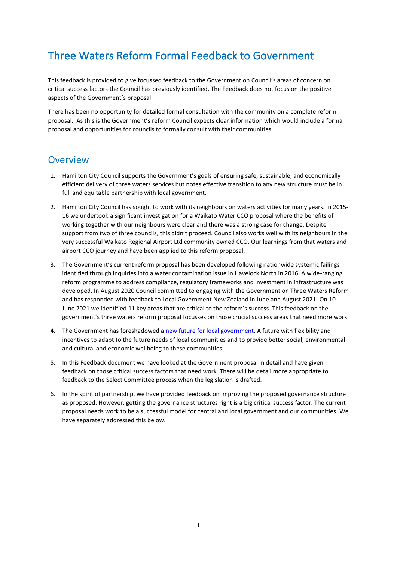# Three Waters Reform Formal Feedback to Government

This feedback is provided to give focussed feedback to the Government on Council's areas of concern on critical success factors the Council has previously identified. The Feedback does not focus on the positive aspects of the Government's proposal.

There has been no opportunity for detailed formal consultation with the community on a complete reform proposal. As this is the Government's reform Council expects clear information which would include a formal proposal and opportunities for councils to formally consult with their communities.

# **Overview**

- 1. Hamilton City Council supports the Government's goals of ensuring safe, sustainable, and economically efficient delivery of three waters services but notes effective transition to any new structure must be in full and equitable partnership with local government.
- 2. Hamilton City Council has sought to work with its neighbours on waters activities for many years. In 2015- 16 we undertook a significant investigation for a Waikato Water CCO proposal where the benefits of working together with our neighbours were clear and there was a strong case for change. Despite support from two of three councils, this didn't proceed. Council also works well with its neighbours in the very successful Waikato Regional Airport Ltd community owned CCO. Our learnings from that waters and airport CCO journey and have been applied to this reform proposal.
- 3. The Government's current reform proposal has been developed following nationwide systemic failings identified through inquiries into a water contamination issue in Havelock North in 2016. A wide-ranging reform programme to address compliance, regulatory frameworks and investment in infrastructure was developed. In August 2020 Council committed to engaging with the Government on Three Waters Reform and has responded with feedback to Local Government New Zealand in June and August 2021. On 10 June 2021 we identified 11 key areas that are critical to the reform's success. This feedback on the government's three waters reform proposal focusses on those crucial success areas that need more work.
- 4. The Government has foreshadowed [a new future for local government.](https://www.dia.govt.nz/Future-for-Local-Government-Review) A future with flexibility and incentives to adapt to the future needs of local communities and to provide better social, environmental and cultural and economic wellbeing to these communities.
- 5. In this Feedback document we have looked at the Government proposal in detail and have given feedback on those critical success factors that need work. There will be detail more appropriate to feedback to the Select Committee process when the legislation is drafted.
- 6. In the spirit of partnership, we have provided feedback on improving the proposed governance structure as proposed. However, getting the governance structures right is a big critical success factor. The current proposal needs work to be a successful model for central and local government and our communities. We have separately addressed this below.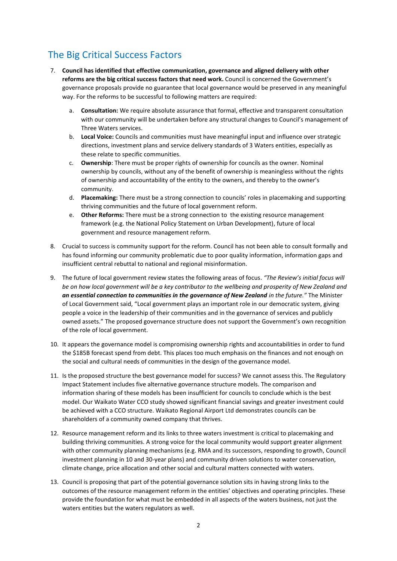# The Big Critical Success Factors

- 7. **Council has identified that effective communication, governance and aligned delivery with other reforms are the big critical success factors that need work.** Council is concerned the Government's governance proposals provide no guarantee that local governance would be preserved in any meaningful way. For the reforms to be successful to following matters are required:
	- a. **Consultation:** We require absolute assurance that formal, effective and transparent consultation with our community will be undertaken before any structural changes to Council's management of Three Waters services.
	- b. **Local Voice:** Councils and communities must have meaningful input and influence over strategic directions, investment plans and service delivery standards of 3 Waters entities, especially as these relate to specific communities.
	- c. **Ownership**: There must be proper rights of ownership for councils as the owner. Nominal ownership by councils, without any of the benefit of ownership is meaningless without the rights of ownership and accountability of the entity to the owners, and thereby to the owner's community.
	- d. **Placemaking:** There must be a strong connection to councils' roles in placemaking and supporting thriving communities and the future of local government reform.
	- e. **Other Reforms:** There must be a strong connection to the existing resource management framework (e.g. the National Policy Statement on Urban Development), future of local government and resource management reform.
- 8. Crucial to success is community support for the reform. Council has not been able to consult formally and has found informing our community problematic due to poor quality information, information gaps and insufficient central rebuttal to national and regional misinformation.
- 9. The future of local government review states the following areas of focus. *"The Review's initial focus will be on how local government will be a key contributor to the wellbeing and prosperity of New Zealand and an essential connection to communities in the governance of New Zealand in the future."* The Minister of Local Government said, "Local government plays an important role in our democratic system, giving people a voice in the leadership of their communities and in the governance of services and publicly owned assets." The proposed governance structure does not support the Government's own recognition of the role of local government.
- 10. It appears the governance model is compromising ownership rights and accountabilities in order to fund the \$185B forecast spend from debt. This places too much emphasis on the finances and not enough on the social and cultural needs of communities in the design of the governance model.
- 11. Is the proposed structure the best governance model for success? We cannot assess this. The Regulatory Impact Statement includes five alternative governance structure models. The comparison and information sharing of these models has been insufficient for councils to conclude which is the best model. Our Waikato Water CCO study showed significant financial savings and greater investment could be achieved with a CCO structure. Waikato Regional Airport Ltd demonstrates councils can be shareholders of a community owned company that thrives.
- 12. Resource management reform and its links to three waters investment is critical to placemaking and building thriving communities. A strong voice for the local community would support greater alignment with other community planning mechanisms (e.g. RMA and its successors, responding to growth, Council investment planning in 10 and 30-year plans) and community driven solutions to water conservation, climate change, price allocation and other social and cultural matters connected with waters.
- 13. Council is proposing that part of the potential governance solution sits in having strong links to the outcomes of the resource management reform in the entities' objectives and operating principles. These provide the foundation for what must be embedded in all aspects of the waters business, not just the waters entities but the waters regulators as well.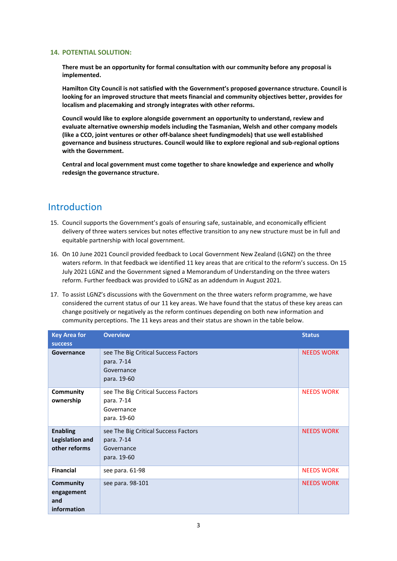**There must be an opportunity for formal consultation with our community before any proposal is implemented.** 

**Hamilton City Council is not satisfied with the Government's proposed governance structure. Council is looking for an improved structure that meets financial and community objectives better, provides for localism and placemaking and strongly integrates with other reforms.** 

**Council would like to explore alongside government an opportunity to understand, review and evaluate alternative ownership models including the Tasmanian, Welsh and other company models (like a CCO, joint ventures or other off-balance sheet fundingmodels) that use well established governance and business structures. Council would like to explore regional and sub-regional options with the Government.** 

**Central and local government must come together to share knowledge and experience and wholly redesign the governance structure.**

# Introduction

- 15. Council supports the Government's goals of ensuring safe, sustainable, and economically efficient delivery of three waters services but notes effective transition to any new structure must be in full and equitable partnership with local government.
- 16. On 10 June 2021 Council provided feedback to Local Government New Zealand (LGNZ) on the three waters reform. In that feedback we identified 11 key areas that are critical to the reform's success. On 15 July 2021 LGNZ and the Government signed a Memorandum of Understanding on the three waters reform. Further feedback was provided to LGNZ as an addendum in August 2021.
- 17. To assist LGNZ's discussions with the Government on the three waters reform programme, we have considered the current status of our 11 key areas. We have found that the status of these key areas can change positively or negatively as the reform continues depending on both new information and community perceptions. The 11 keys areas and their status are shown in the table below.

| <b>Key Area for</b><br><b>success</b>                      | <b>Overview</b>                                                                 | <b>Status</b>     |
|------------------------------------------------------------|---------------------------------------------------------------------------------|-------------------|
| Governance                                                 | see The Big Critical Success Factors<br>para. 7-14<br>Governance<br>para. 19-60 | <b>NEEDS WORK</b> |
| <b>Community</b><br>ownership                              | see The Big Critical Success Factors<br>para. 7-14<br>Governance<br>para. 19-60 | <b>NEEDS WORK</b> |
| <b>Enabling</b><br><b>Legislation and</b><br>other reforms | see The Big Critical Success Factors<br>para. 7-14<br>Governance<br>para. 19-60 | <b>NEEDS WORK</b> |
| <b>Financial</b>                                           | see para. 61-98                                                                 | <b>NEEDS WORK</b> |
| Community<br>engagement<br>and<br>information              | see para. 98-101                                                                | <b>NEEDS WORK</b> |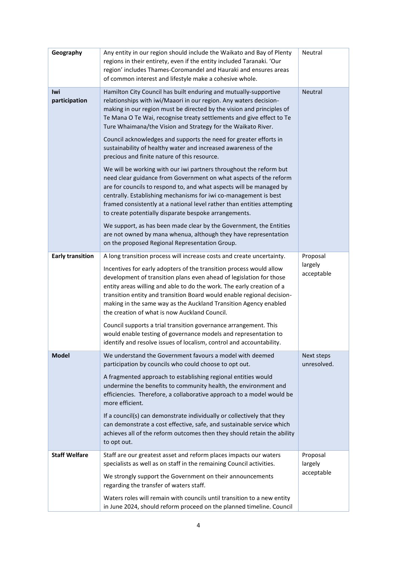| Geography               | Any entity in our region should include the Waikato and Bay of Plenty<br>regions in their entirety, even if the entity included Taranaki. 'Our<br>region' includes Thames-Coromandel and Hauraki and ensures areas<br>of common interest and lifestyle make a cohesive whole.                                                                                                                                                                                                               | Neutral                           |
|-------------------------|---------------------------------------------------------------------------------------------------------------------------------------------------------------------------------------------------------------------------------------------------------------------------------------------------------------------------------------------------------------------------------------------------------------------------------------------------------------------------------------------|-----------------------------------|
| Iwi<br>participation    | Hamilton City Council has built enduring and mutually-supportive<br>relationships with iwi/Maaori in our region. Any waters decision-<br>making in our region must be directed by the vision and principles of<br>Te Mana O Te Wai, recognise treaty settlements and give effect to Te<br>Ture Whaimana/the Vision and Strategy for the Waikato River.                                                                                                                                      | Neutral                           |
|                         | Council acknowledges and supports the need for greater efforts in<br>sustainability of healthy water and increased awareness of the<br>precious and finite nature of this resource.                                                                                                                                                                                                                                                                                                         |                                   |
|                         | We will be working with our iwi partners throughout the reform but<br>need clear guidance from Government on what aspects of the reform<br>are for councils to respond to, and what aspects will be managed by<br>centrally. Establishing mechanisms for iwi co-management is best<br>framed consistently at a national level rather than entities attempting<br>to create potentially disparate bespoke arrangements.                                                                      |                                   |
|                         | We support, as has been made clear by the Government, the Entities<br>are not owned by mana whenua, although they have representation<br>on the proposed Regional Representation Group.                                                                                                                                                                                                                                                                                                     |                                   |
| <b>Early transition</b> | A long transition process will increase costs and create uncertainty.<br>Incentives for early adopters of the transition process would allow<br>development of transition plans even ahead of legislation for those<br>entity areas willing and able to do the work. The early creation of a<br>transition entity and transition Board would enable regional decision-<br>making in the same way as the Auckland Transition Agency enabled<br>the creation of what is now Auckland Council. | Proposal<br>largely<br>acceptable |
|                         | Council supports a trial transition governance arrangement. This<br>would enable testing of governance models and representation to<br>identify and resolve issues of localism, control and accountability.                                                                                                                                                                                                                                                                                 |                                   |
| <b>Model</b>            | We understand the Government favours a model with deemed<br>participation by councils who could choose to opt out.                                                                                                                                                                                                                                                                                                                                                                          | Next steps<br>unresolved.         |
|                         | A fragmented approach to establishing regional entities would<br>undermine the benefits to community health, the environment and<br>efficiencies. Therefore, a collaborative approach to a model would be<br>more efficient.                                                                                                                                                                                                                                                                |                                   |
|                         | If a council(s) can demonstrate individually or collectively that they<br>can demonstrate a cost effective, safe, and sustainable service which<br>achieves all of the reform outcomes then they should retain the ability<br>to opt out.                                                                                                                                                                                                                                                   |                                   |
| <b>Staff Welfare</b>    | Staff are our greatest asset and reform places impacts our waters<br>specialists as well as on staff in the remaining Council activities.                                                                                                                                                                                                                                                                                                                                                   | Proposal<br>largely<br>acceptable |
|                         | We strongly support the Government on their announcements<br>regarding the transfer of waters staff.                                                                                                                                                                                                                                                                                                                                                                                        |                                   |
|                         | Waters roles will remain with councils until transition to a new entity<br>in June 2024, should reform proceed on the planned timeline. Council                                                                                                                                                                                                                                                                                                                                             |                                   |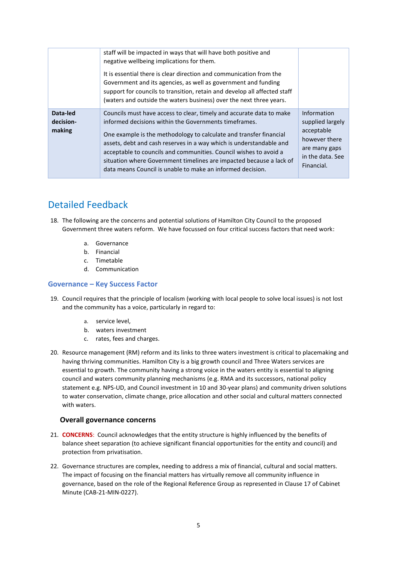|                                 | staff will be impacted in ways that will have both positive and<br>negative wellbeing implications for them.<br>It is essential there is clear direction and communication from the<br>Government and its agencies, as well as government and funding<br>support for councils to transition, retain and develop all affected staff<br>(waters and outside the waters business) over the next three years.                                                                            |                                                                                                                   |
|---------------------------------|--------------------------------------------------------------------------------------------------------------------------------------------------------------------------------------------------------------------------------------------------------------------------------------------------------------------------------------------------------------------------------------------------------------------------------------------------------------------------------------|-------------------------------------------------------------------------------------------------------------------|
| Data-led<br>decision-<br>making | Councils must have access to clear, timely and accurate data to make<br>informed decisions within the Governments timeframes.<br>One example is the methodology to calculate and transfer financial<br>assets, debt and cash reserves in a way which is understandable and<br>acceptable to councils and communities. Council wishes to avoid a<br>situation where Government timelines are impacted because a lack of<br>data means Council is unable to make an informed decision. | Information<br>supplied largely<br>acceptable<br>however there<br>are many gaps<br>in the data. See<br>Financial. |

# Detailed Feedback

- 18. The following are the concerns and potential solutions of Hamilton City Council to the proposed Government three waters reform. We have focussed on four critical success factors that need work:
	- a. Governance
	- b. Financial
	- c. Timetable
	- d. Communication

#### **Governance – Key Success Factor**

- 19. Council requires that the principle of localism (working with local people to solve local issues) is not lost and the community has a voice, particularly in regard to:
	- a. service level,
	- b. waters investment
	- c. rates, fees and charges.
- 20. Resource management (RM) reform and its links to three waters investment is critical to placemaking and having thriving communities. Hamilton City is a big growth council and Three Waters services are essential to growth. The community having a strong voice in the waters entity is essential to aligning council and waters community planning mechanisms (e.g. RMA and its successors, national policy statement e.g. NPS-UD, and Council investment in 10 and 30-year plans) and community driven solutions to water conservation, climate change, price allocation and other social and cultural matters connected with waters.

# **Overall governance concerns**

- 21. **CONCERNS**: Council acknowledges that the entity structure is highly influenced by the benefits of balance sheet separation (to achieve significant financial opportunities for the entity and council) and protection from privatisation.
- 22. Governance structures are complex, needing to address a mix of financial, cultural and social matters. The impact of focusing on the financial matters has virtually remove all community influence in governance, based on the role of the Regional Reference Group as represented in Clause 17 of Cabinet Minute (CAB-21-MIN-0227).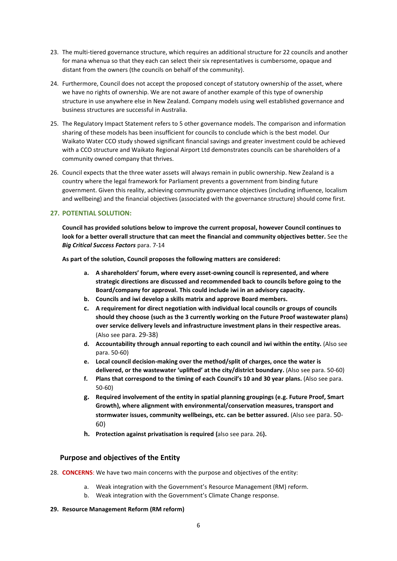- 23. The multi-tiered governance structure, which requires an additional structure for 22 councils and another for mana whenua so that they each can select their six representatives is cumbersome, opaque and distant from the owners (the councils on behalf of the community).
- 24. Furthermore, Council does not accept the proposed concept of statutory ownership of the asset, where we have no rights of ownership. We are not aware of another example of this type of ownership structure in use anywhere else in New Zealand. Company models using well established governance and business structures are successful in Australia.
- 25. The Regulatory Impact Statement refers to 5 other governance models. The comparison and information sharing of these models has been insufficient for councils to conclude which is the best model. Our Waikato Water CCO study showed significant financial savings and greater investment could be achieved with a CCO structure and Waikato Regional Airport Ltd demonstrates councils can be shareholders of a community owned company that thrives.
- 26. Council expects that the three water assets will always remain in public ownership. New Zealand is a country where the legal framework for Parliament prevents a government from binding future government. Given this reality, achieving community governance objectives (including influence, localism and wellbeing) and the financial objectives (associated with the governance structure) should come first.

**Council has provided solutions below to improve the current proposal, however Council continues to look for a better overall structure that can meet the financial and community objectives better.** See the *Big Critical Success Factors* para. 7-14

**As part of the solution, Council proposes the following matters are considered:**

- **a. A shareholders' forum, where every asset-owning council is represented, and where strategic directions are discussed and recommended back to councils before going to the Board/company for approval. This could include iwi in an advisory capacity.**
- **b. Councils and iwi develop a skills matrix and approve Board members.**
- **c. A requirement for direct negotiation with individual local councils or groups of councils should they choose (such as the 3 currently working on the Future Proof wastewater plans) over service delivery levels and infrastructure investment plans in their respective areas.** (Also see para. 29-38)
- **d. Accountability through annual reporting to each council and iwi within the entity.** (Also see para. 50-60)
- **e. Local council decision-making over the method/split of charges, once the water is delivered, or the wastewater 'uplifted' at the city/district boundary.** (Also see para. 50-60)
- **f. Plans that correspond to the timing of each Council's 10 and 30 year plans.** (Also see para. 50-60)
- **g. Required involvement of the entity in spatial planning groupings (e.g. Future Proof, Smart Growth), where alignment with environmental/conservation measures, transport and stormwater issues, community wellbeings, etc. can be better assured.** (Also see para. 50- 60)
- **h. Protection against privatisation is required (**also see para. 26**).**

#### **Purpose and objectives of the Entity**

- 28. **CONCERNS**: We have two main concerns with the purpose and objectives of the entity:
	- a. Weak integration with the Government's Resource Management (RM) reform.
	- b. Weak integration with the Government's Climate Change response.

#### **29. Resource Management Reform (RM reform)**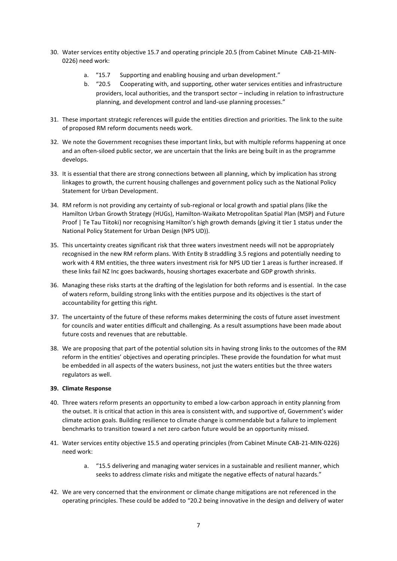- 30. Water services entity objective 15.7 and operating principle 20.5 (from Cabinet Minute CAB-21-MIN-0226) need work:
	- a. "15.7 Supporting and enabling housing and urban development."
	- b. "20.5 Cooperating with, and supporting, other water services entities and infrastructure providers, local authorities, and the transport sector – including in relation to infrastructure planning, and development control and land-use planning processes."
- 31. These important strategic references will guide the entities direction and priorities. The link to the suite of proposed RM reform documents needs work.
- 32. We note the Government recognises these important links, but with multiple reforms happening at once and an often-siloed public sector, we are uncertain that the links are being built in as the programme develops.
- 33. It is essential that there are strong connections between all planning, which by implication has strong linkages to growth, the current housing challenges and government policy such as the National Policy Statement for Urban Development.
- 34. RM reform is not providing any certainty of sub-regional or local growth and spatial plans (like the Hamilton Urban Growth Strategy (HUGs), Hamilton-Waikato Metropolitan Spatial Plan (MSP) and Future Proof | Te Tau Tiitoki) nor recognising Hamilton's high growth demands (giving it tier 1 status under the National Policy Statement for Urban Design (NPS UD)).
- 35. This uncertainty creates significant risk that three waters investment needs will not be appropriately recognised in the new RM reform plans. With Entity B straddling 3.5 regions and potentially needing to work with 4 RM entities, the three waters investment risk for NPS UD tier 1 areas is further increased. If these links fail NZ Inc goes backwards, housing shortages exacerbate and GDP growth shrinks.
- 36. Managing these risks starts at the drafting of the legislation for both reforms and is essential. In the case of waters reform, building strong links with the entities purpose and its objectives is the start of accountability for getting this right.
- 37. The uncertainty of the future of these reforms makes determining the costs of future asset investment for councils and water entities difficult and challenging. As a result assumptions have been made about future costs and revenues that are rebuttable.
- 38. We are proposing that part of the potential solution sits in having strong links to the outcomes of the RM reform in the entities' objectives and operating principles. These provide the foundation for what must be embedded in all aspects of the waters business, not just the waters entities but the three waters regulators as well.

#### **39. Climate Response**

- 40. Three waters reform presents an opportunity to embed a low-carbon approach in entity planning from the outset. It is critical that action in this area is consistent with, and supportive of, Government's wider climate action goals. Building resilience to climate change is commendable but a failure to implement benchmarks to transition toward a net zero carbon future would be an opportunity missed.
- 41. Water services entity objective 15.5 and operating principles (from Cabinet Minute CAB-21-MIN-0226) need work:
	- a. "15.5 delivering and managing water services in a sustainable and resilient manner, which seeks to address climate risks and mitigate the negative effects of natural hazards."
- 42. We are very concerned that the environment or climate change mitigations are not referenced in the operating principles. These could be added to "20.2 being innovative in the design and delivery of water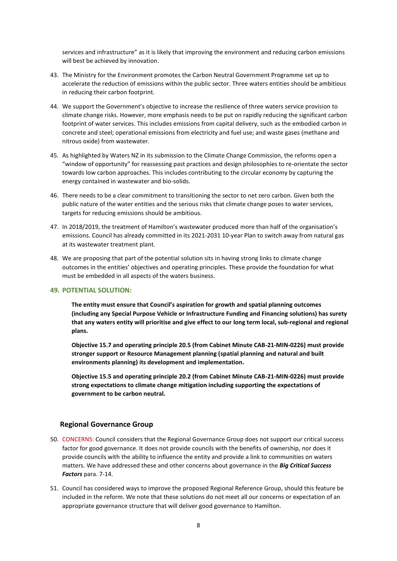services and infrastructure" as it is likely that improving the environment and reducing carbon emissions will best be achieved by innovation.

- 43. The Ministry for the Environment promotes the Carbon Neutral Government Programme set up to accelerate the reduction of emissions within the public sector. Three waters entities should be ambitious in reducing their carbon footprint.
- 44. We support the Government's objective to increase the resilience of three waters service provision to climate change risks. However, more emphasis needs to be put on rapidly reducing the significant carbon footprint of water services. This includes emissions from capital delivery, such as the embodied carbon in concrete and steel; operational emissions from electricity and fuel use; and waste gases (methane and nitrous oxide) from wastewater.
- 45. As highlighted by Waters NZ in its submission to the Climate Change Commission, the reforms open a "window of opportunity" for reassessing past practices and design philosophies to re-orientate the sector towards low carbon approaches. This includes contributing to the circular economy by capturing the energy contained in wastewater and bio-solids.
- 46. There needs to be a clear commitment to transitioning the sector to net zero carbon. Given both the public nature of the water entities and the serious risks that climate change poses to water services, targets for reducing emissions should be ambitious.
- 47. In 2018/2019, the treatment of Hamilton's wastewater produced more than half of the organisation's emissions. Council has already committed in its 2021-2031 10-year Plan to switch away from natural gas at its wastewater treatment plant.
- 48. We are proposing that part of the potential solution sits in having strong links to climate change outcomes in the entities' objectives and operating principles. These provide the foundation for what must be embedded in all aspects of the waters business.

#### **49. POTENTIAL SOLUTION:**

**The entity must ensure that Council's aspiration for growth and spatial planning outcomes (including any Special Purpose Vehicle or Infrastructure Funding and Financing solutions) has surety that any waters entity will prioritise and give effect to our long term local, sub-regional and regional plans.** 

**Objective 15.7 and operating principle 20.5 (from Cabinet Minute CAB-21-MIN-0226) must provide stronger support or Resource Management planning (spatial planning and natural and built environments planning) its development and implementation.** 

**Objective 15.5 and operating principle 20.2 (from Cabinet Minute CAB-21-MIN-0226) must provide strong expectations to climate change mitigation including supporting the expectations of government to be carbon neutral.**

# **Regional Governance Group**

- 50. CONCERNS: Council considers that the Regional Governance Group does not support our critical success factor for good governance. It does not provide councils with the benefits of ownership, nor does it provide councils with the ability to influence the entity and provide a link to communities on waters matters. We have addressed these and other concerns about governance in the *Big Critical Success Factors* para. 7-14.
- 51. Council has considered ways to improve the proposed Regional Reference Group, should this feature be included in the reform. We note that these solutions do not meet all our concerns or expectation of an appropriate governance structure that will deliver good governance to Hamilton.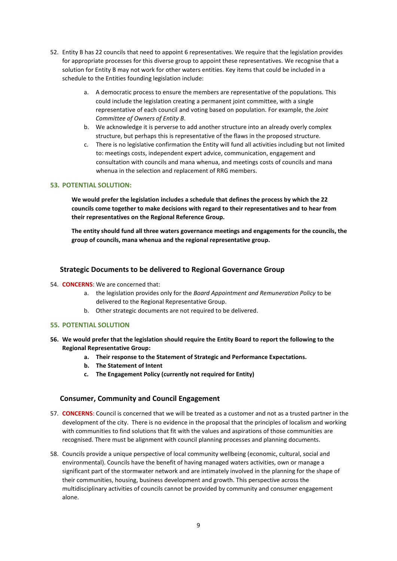- 52. Entity B has 22 councils that need to appoint 6 representatives. We require that the legislation provides for appropriate processes for this diverse group to appoint these representatives. We recognise that a solution for Entity B may not work for other waters entities. Key items that could be included in a schedule to the Entities founding legislation include:
	- a. A democratic process to ensure the members are representative of the populations. This could include the legislation creating a permanent joint committee, with a single representative of each council and voting based on population. For example, the *Joint Committee of Owners of Entity B*.
	- b. We acknowledge it is perverse to add another structure into an already overly complex structure, but perhaps this is representative of the flaws in the proposed structure.
	- c. There is no legislative confirmation the Entity will fund all activities including but not limited to: meetings costs, independent expert advice, communication, engagement and consultation with councils and mana whenua, and meetings costs of councils and mana whenua in the selection and replacement of RRG members.

**We would prefer the legislation includes a schedule that defines the process by which the 22 councils come together to make decisions with regard to their representatives and to hear from their representatives on the Regional Reference Group.**

**The entity should fund all three waters governance meetings and engagements for the councils, the group of councils, mana whenua and the regional representative group.**

## **Strategic Documents to be delivered to Regional Governance Group**

- 54. **CONCERNS**: We are concerned that:
	- a. the legislation provides only for the *Board Appointment and Remuneration Policy* to be delivered to the Regional Representative Group.
	- b. Other strategic documents are not required to be delivered.

#### **55. POTENTIAL SOLUTION**

- **56. We would prefer that the legislation should require the Entity Board to report the following to the Regional Representative Group:**
	- **a. Their response to the Statement of Strategic and Performance Expectations.**
	- **b. The Statement of Intent**
	- **c. The Engagement Policy (currently not required for Entity)**

#### **Consumer, Community and Council Engagement**

- 57. **CONCERNS**: Council is concerned that we will be treated as a customer and not as a trusted partner in the development of the city. There is no evidence in the proposal that the principles of localism and working with communities to find solutions that fit with the values and aspirations of those communities are recognised. There must be alignment with council planning processes and planning documents.
- 58. Councils provide a unique perspective of local community wellbeing (economic, cultural, social and environmental). Councils have the benefit of having managed waters activities, own or manage a significant part of the stormwater network and are intimately involved in the planning for the shape of their communities, housing, business development and growth. This perspective across the multidisciplinary activities of councils cannot be provided by community and consumer engagement alone.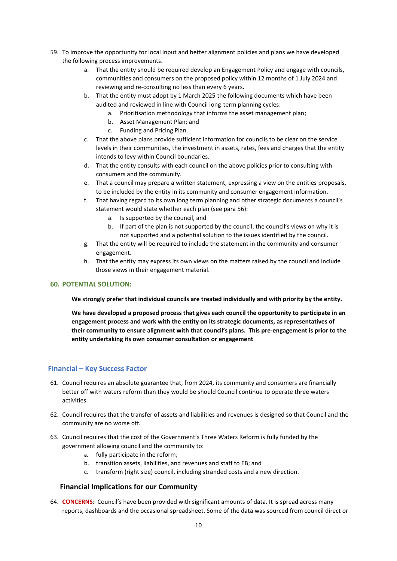- 59. To improve the opportunity for local input and better alignment policies and plans we have developed the following process improvements.
	- a. That the entity should be required develop an Engagement Policy and engage with councils, communities and consumers on the proposed policy within 12 months of 1 July 2024 and reviewing and re-consulting no less than every 6 years.
	- b. That the entity must adopt by 1 March 2025 the following documents which have been audited and reviewed in line with Council long-term planning cycles:
		- a. Prioritisation methodology that informs the asset management plan;
			- b. Asset Management Plan; and
			- c. Funding and Pricing Plan.
	- c. That the above plans provide sufficient information for councils to be clear on the service levels in their communities, the investment in assets, rates, fees and charges that the entity intends to levy within Council boundaries.
	- d. That the entity consults with each council on the above policies prior to consulting with consumers and the community.
	- e. That a council may prepare a written statement, expressing a view on the entities proposals, to be included by the entity in its community and consumer engagement information.
	- f. That having regard to its own long term planning and other strategic documents a council's statement would state whether each plan (see para 56):
		- a. Is supported by the council, and
		- b. If part of the plan is not supported by the council, the council's views on why it is not supported and a potential solution to the issues identified by the council.
	- g. That the entity will be required to include the statement in the community and consumer engagement.
	- h. That the entity may express its own views on the matters raised by the council and include those views in their engagement material.

**We strongly prefer that individual councils are treated individually and with priority by the entity.** 

**We have developed a proposed process that gives each council the opportunity to participate in an engagement process and work with the entity on its strategic documents, as representatives of their community to ensure alignment with that council's plans. This pre-engagement is prior to the entity undertaking its own consumer consultation or engagement**

# **Financial – Key Success Factor**

- 61. Council requires an absolute guarantee that, from 2024, its community and consumers are financially better off with waters reform than they would be should Council continue to operate three waters activities.
- 62. Council requires that the transfer of assets and liabilities and revenues is designed so that Council and the community are no worse off.
- 63. Council requires that the cost of the Government's Three Waters Reform is fully funded by the government allowing council and the community to:
	- a. fully participate in the reform;
	- b. transition assets, liabilities, and revenues and staff to EB; and
	- c. transform (right size) council, including stranded costs and a new direction.

# **Financial Implications for our Community**

64. **CONCERNS**: Council's have been provided with significant amounts of data. It is spread across many reports, dashboards and the occasional spreadsheet. Some of the data was sourced from council direct or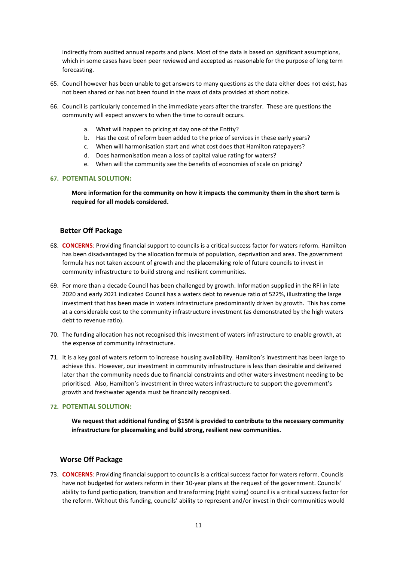indirectly from audited annual reports and plans. Most of the data is based on significant assumptions, which in some cases have been peer reviewed and accepted as reasonable for the purpose of long term forecasting.

- 65. Council however has been unable to get answers to many questions as the data either does not exist, has not been shared or has not been found in the mass of data provided at short notice.
- 66. Council is particularly concerned in the immediate years after the transfer. These are questions the community will expect answers to when the time to consult occurs.
	- a. What will happen to pricing at day one of the Entity?
	- b. Has the cost of reform been added to the price of services in these early years?
	- c. When will harmonisation start and what cost does that Hamilton ratepayers?
	- d. Does harmonisation mean a loss of capital value rating for waters?
	- e. When will the community see the benefits of economies of scale on pricing?

#### **67. POTENTIAL SOLUTION:**

**More information for the community on how it impacts the community them in the short term is required for all models considered.**

## **Better Off Package**

- 68. **CONCERNS**: Providing financial support to councils is a critical success factor for waters reform. Hamilton has been disadvantaged by the allocation formula of population, deprivation and area. The government formula has not taken account of growth and the placemaking role of future councils to invest in community infrastructure to build strong and resilient communities.
- 69. For more than a decade Council has been challenged by growth. Information supplied in the RFI in late 2020 and early 2021 indicated Council has a waters debt to revenue ratio of 522%, illustrating the large investment that has been made in waters infrastructure predominantly driven by growth. This has come at a considerable cost to the community infrastructure investment (as demonstrated by the high waters debt to revenue ratio).
- 70. The funding allocation has not recognised this investment of waters infrastructure to enable growth, at the expense of community infrastructure.
- 71. It is a key goal of waters reform to increase housing availability. Hamilton's investment has been large to achieve this. However, our investment in community infrastructure is less than desirable and delivered later than the community needs due to financial constraints and other waters investment needing to be prioritised. Also, Hamilton's investment in three waters infrastructure to support the government's growth and freshwater agenda must be financially recognised.

# **72. POTENTIAL SOLUTION:**

**We request that additional funding of \$15M is provided to contribute to the necessary community infrastructure for placemaking and build strong, resilient new communities.**

#### **Worse Off Package**

73. **CONCERNS**: Providing financial support to councils is a critical success factor for waters reform. Councils have not budgeted for waters reform in their 10-year plans at the request of the government. Councils' ability to fund participation, transition and transforming (right sizing) council is a critical success factor for the reform. Without this funding, councils' ability to represent and/or invest in their communities would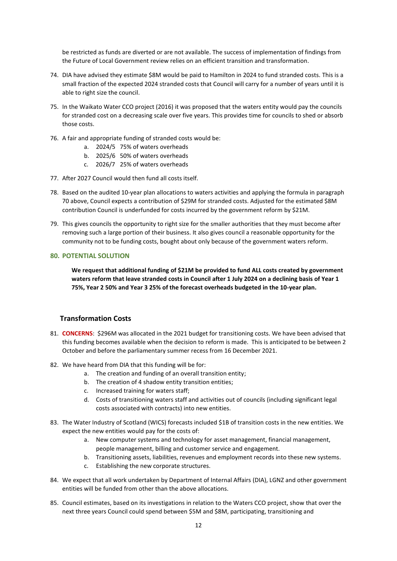be restricted as funds are diverted or are not available. The success of implementation of findings from the Future of Local Government review relies on an efficient transition and transformation.

- 74. DIA have advised they estimate \$8M would be paid to Hamilton in 2024 to fund stranded costs. This is a small fraction of the expected 2024 stranded costs that Council will carry for a number of years until it is able to right size the council.
- 75. In the Waikato Water CCO project (2016) it was proposed that the waters entity would pay the councils for stranded cost on a decreasing scale over five years. This provides time for councils to shed or absorb those costs.
- 76. A fair and appropriate funding of stranded costs would be:
	- a. 2024/5 75% of waters overheads
	- b. 2025/6 50% of waters overheads
	- c. 2026/7 25% of waters overheads
- 77. After 2027 Council would then fund all costs itself.
- 78. Based on the audited 10-year plan allocations to waters activities and applying the formula in paragraph 70 above, Council expects a contribution of \$29M for stranded costs. Adjusted for the estimated \$8M contribution Council is underfunded for costs incurred by the government reform by \$21M.
- 79. This gives councils the opportunity to right size for the smaller authorities that they must become after removing such a large portion of their business. It also gives council a reasonable opportunity for the community not to be funding costs, bought about only because of the government waters reform.

#### **80. POTENTIAL SOLUTION**

**We request that additional funding of \$21M be provided to fund ALL costs created by government waters reform that leave stranded costs in Council after 1 July 2024 on a declining basis of Year 1 75%, Year 2 50% and Year 3 25% of the forecast overheads budgeted in the 10-year plan.**

## **Transformation Costs**

- 81. **CONCERNS**: \$296M was allocated in the 2021 budget for transitioning costs. We have been advised that this funding becomes available when the decision to reform is made. This is anticipated to be between 2 October and before the parliamentary summer recess from 16 December 2021.
- 82. We have heard from DIA that this funding will be for:
	- a. The creation and funding of an overall transition entity;
	- b. The creation of 4 shadow entity transition entities;
	- c. Increased training for waters staff;
	- d. Costs of transitioning waters staff and activities out of councils (including significant legal costs associated with contracts) into new entities.
- 83. The Water Industry of Scotland (WICS) forecasts included \$1B of transition costs in the new entities. We expect the new entities would pay for the costs of:
	- a. New computer systems and technology for asset management, financial management, people management, billing and customer service and engagement.
	- b. Transitioning assets, liabilities, revenues and employment records into these new systems.
	- c. Establishing the new corporate structures.
- 84. We expect that all work undertaken by Department of Internal Affairs (DIA), LGNZ and other government entities will be funded from other than the above allocations.
- 85. Council estimates, based on its investigations in relation to the Waters CCO project, show that over the next three years Council could spend between \$5M and \$8M, participating, transitioning and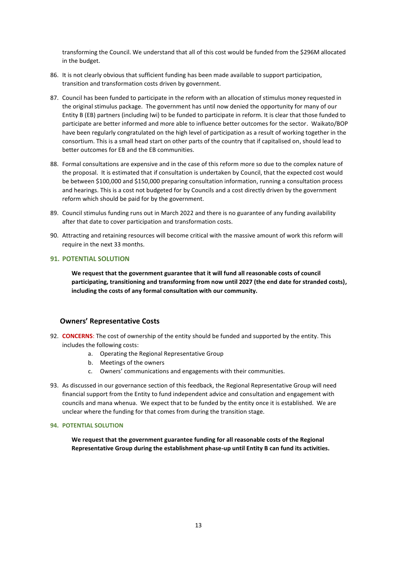transforming the Council. We understand that all of this cost would be funded from the \$296M allocated in the budget.

- 86. It is not clearly obvious that sufficient funding has been made available to support participation, transition and transformation costs driven by government.
- 87. Council has been funded to participate in the reform with an allocation of stimulus money requested in the original stimulus package. The government has until now denied the opportunity for many of our Entity B (EB) partners (including Iwi) to be funded to participate in reform. It is clear that those funded to participate are better informed and more able to influence better outcomes for the sector. Waikato/BOP have been regularly congratulated on the high level of participation as a result of working together in the consortium. This is a small head start on other parts of the country that if capitalised on, should lead to better outcomes for EB and the EB communities.
- 88. Formal consultations are expensive and in the case of this reform more so due to the complex nature of the proposal. It is estimated that if consultation is undertaken by Council, that the expected cost would be between \$100,000 and \$150,000 preparing consultation information, running a consultation process and hearings. This is a cost not budgeted for by Councils and a cost directly driven by the government reform which should be paid for by the government.
- 89. Council stimulus funding runs out in March 2022 and there is no guarantee of any funding availability after that date to cover participation and transformation costs.
- 90. Attracting and retaining resources will become critical with the massive amount of work this reform will require in the next 33 months.

## **91. POTENTIAL SOLUTION**

**We request that the government guarantee that it will fund all reasonable costs of council participating, transitioning and transforming from now until 2027 (the end date for stranded costs), including the costs of any formal consultation with our community.**

# **Owners' Representative Costs**

- 92. **CONCERNS**: The cost of ownership of the entity should be funded and supported by the entity. This includes the following costs:
	- a. Operating the Regional Representative Group
	- b. Meetings of the owners
	- c. Owners' communications and engagements with their communities.
- 93. As discussed in our governance section of this feedback, the Regional Representative Group will need financial support from the Entity to fund independent advice and consultation and engagement with councils and mana whenua. We expect that to be funded by the entity once it is established. We are unclear where the funding for that comes from during the transition stage.

#### **94. POTENTIAL SOLUTION**

**We request that the government guarantee funding for all reasonable costs of the Regional Representative Group during the establishment phase-up until Entity B can fund its activities.**